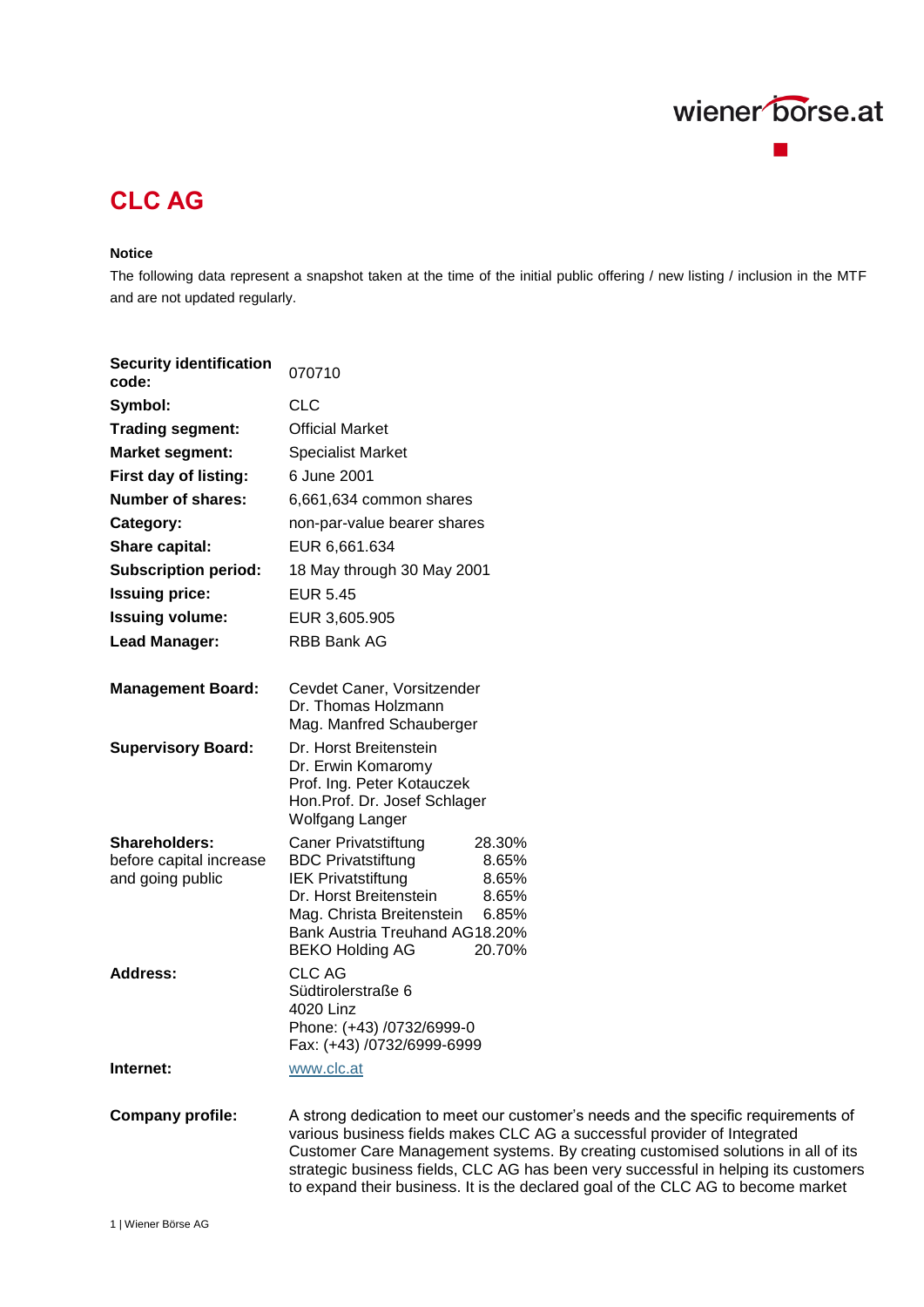

# **CLC AG**

#### **Notice**

The following data represent a snapshot taken at the time of the initial public offering / new listing / inclusion in the MTF and are not updated regularly.

to expand their business. It is the declared goal of the CLC AG to become market

| <b>Security identification</b><br>code:                             | 070710                                                                                                                                                                                                                                                                                                                                   |
|---------------------------------------------------------------------|------------------------------------------------------------------------------------------------------------------------------------------------------------------------------------------------------------------------------------------------------------------------------------------------------------------------------------------|
| Symbol:                                                             | <b>CLC</b>                                                                                                                                                                                                                                                                                                                               |
| <b>Trading segment:</b>                                             | <b>Official Market</b>                                                                                                                                                                                                                                                                                                                   |
| <b>Market segment:</b>                                              | <b>Specialist Market</b>                                                                                                                                                                                                                                                                                                                 |
| First day of listing:                                               | 6 June 2001                                                                                                                                                                                                                                                                                                                              |
| <b>Number of shares:</b>                                            | 6,661,634 common shares                                                                                                                                                                                                                                                                                                                  |
| Category:                                                           | non-par-value bearer shares                                                                                                                                                                                                                                                                                                              |
| <b>Share capital:</b>                                               | EUR 6,661.634                                                                                                                                                                                                                                                                                                                            |
| <b>Subscription period:</b>                                         | 18 May through 30 May 2001                                                                                                                                                                                                                                                                                                               |
| <b>Issuing price:</b>                                               | <b>EUR 5.45</b>                                                                                                                                                                                                                                                                                                                          |
| <b>Issuing volume:</b>                                              | EUR 3,605.905                                                                                                                                                                                                                                                                                                                            |
| <b>Lead Manager:</b>                                                | RBB Bank AG                                                                                                                                                                                                                                                                                                                              |
| <b>Management Board:</b>                                            | Cevdet Caner, Vorsitzender<br>Dr. Thomas Holzmann<br>Mag. Manfred Schauberger                                                                                                                                                                                                                                                            |
| <b>Supervisory Board:</b>                                           | Dr. Horst Breitenstein<br>Dr. Erwin Komaromy<br>Prof. Ing. Peter Kotauczek<br>Hon.Prof. Dr. Josef Schlager<br><b>Wolfgang Langer</b>                                                                                                                                                                                                     |
| <b>Shareholders:</b><br>before capital increase<br>and going public | <b>Caner Privatstiftung</b><br>28.30%<br><b>BDC Privatstiftung</b><br>8.65%<br><b>IEK Privatstiftung</b><br>8.65%<br>Dr. Horst Breitenstein<br>8.65%<br>Mag. Christa Breitenstein<br>6.85%<br>Bank Austria Treuhand AG18.20%<br>20.70%<br><b>BEKO Holding AG</b>                                                                         |
| <b>Address:</b>                                                     | <b>CLC AG</b><br>Südtirolerstraße 6<br>4020 Linz<br>Phone: (+43) /0732/6999-0<br>Fax: (+43) /0732/6999-6999                                                                                                                                                                                                                              |
| Internet:                                                           | www.clc.at                                                                                                                                                                                                                                                                                                                               |
| <b>Company profile:</b>                                             | A strong dedication to meet our customer's needs and the specific requirements of<br>various business fields makes CLC AG a successful provider of Integrated<br>Customer Care Management systems. By creating customised solutions in all of its<br>strategic business fields, CLC AG has been very successful in helping its customers |